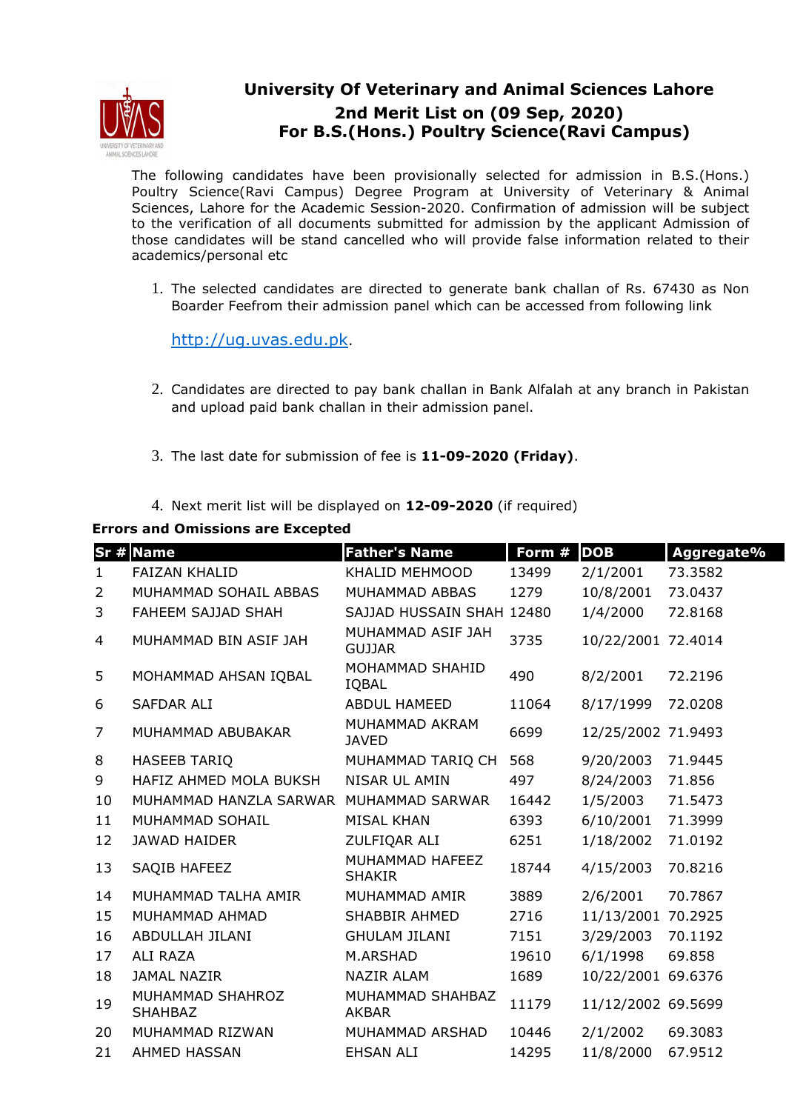

## **University Of Veterinary and Animal Sciences Lahore 2nd Merit List on (09 Sep, 2020) For B.S.(Hons.) Poultry Science(Ravi Campus)**

The following candidates have been provisionally selected for admission in B.S.(Hons.) Poultry Science(Ravi Campus) Degree Program at University of Veterinary & Animal Sciences, Lahore for the Academic Session-2020. Confirmation of admission will be subject to the verification of all documents submitted for admission by the applicant Admission of those candidates will be stand cancelled who will provide false information related to their academics/personal etc

1. The selected candidates are directed to generate bank challan of Rs. 67430 as Non Boarder Feefrom their admission panel which can be accessed from following link

http://ug.uvas.edu.pk.

- 2. Candidates are directed to pay bank challan in Bank Alfalah at any branch in Pakistan and upload paid bank challan in their admission panel.
- 3. The last date for submission of fee is **11-09-2020 (Friday)**.
- 4. Next merit list will be displayed on **12-09-2020** (if required)

**Errors and Omissions are Excepted**

|                | Sr # Name                          | <b>Father's Name</b>               | Form # | <b>DOB</b>         | Aggregate% |
|----------------|------------------------------------|------------------------------------|--------|--------------------|------------|
| $\mathbf{1}$   | <b>FAIZAN KHALID</b>               | KHALID MEHMOOD                     | 13499  | 2/1/2001           | 73.3582    |
| $\overline{2}$ | MUHAMMAD SOHAIL ABBAS              | MUHAMMAD ABBAS                     | 1279   | 10/8/2001          | 73.0437    |
| 3              | FAHEEM SAJJAD SHAH                 | SAJJAD HUSSAIN SHAH 12480          |        | 1/4/2000           | 72.8168    |
| 4              | MUHAMMAD BIN ASIF JAH              | MUHAMMAD ASIF JAH<br><b>GUJJAR</b> | 3735   | 10/22/2001 72.4014 |            |
| 5              | MOHAMMAD AHSAN IQBAL               | MOHAMMAD SHAHID<br>IQBAL           | 490    | 8/2/2001           | 72.2196    |
| 6              | <b>SAFDAR ALI</b>                  | <b>ABDUL HAMEED</b>                | 11064  | 8/17/1999          | 72.0208    |
| $\overline{7}$ | MUHAMMAD ABUBAKAR                  | MUHAMMAD AKRAM<br><b>JAVED</b>     | 6699   | 12/25/2002 71.9493 |            |
| 8              | <b>HASEEB TARIQ</b>                | MUHAMMAD TARIQ CH                  | 568    | 9/20/2003          | 71.9445    |
| 9              | HAFIZ AHMED MOLA BUKSH             | <b>NISAR UL AMIN</b>               | 497    | 8/24/2003          | 71.856     |
| 10             | MUHAMMAD HANZLA SARWAR             | MUHAMMAD SARWAR                    | 16442  | 1/5/2003           | 71.5473    |
| 11             | MUHAMMAD SOHAIL                    | <b>MISAL KHAN</b>                  | 6393   | 6/10/2001          | 71.3999    |
| 12             | <b>JAWAD HAIDER</b>                | ZULFIQAR ALI                       | 6251   | 1/18/2002          | 71.0192    |
| 13             | SAQIB HAFEEZ                       | MUHAMMAD HAFEEZ<br><b>SHAKIR</b>   | 18744  | 4/15/2003          | 70.8216    |
| 14             | MUHAMMAD TALHA AMIR                | MUHAMMAD AMIR                      | 3889   | 2/6/2001           | 70.7867    |
| 15             | MUHAMMAD AHMAD                     | <b>SHABBIR AHMED</b>               | 2716   | 11/13/2001 70.2925 |            |
| 16             | ABDULLAH JILANI                    | <b>GHULAM JILANI</b>               | 7151   | 3/29/2003          | 70.1192    |
| 17             | <b>ALI RAZA</b>                    | M.ARSHAD                           | 19610  | 6/1/1998           | 69.858     |
| 18             | <b>JAMAL NAZIR</b>                 | <b>NAZIR ALAM</b>                  | 1689   | 10/22/2001 69.6376 |            |
| 19             | MUHAMMAD SHAHROZ<br><b>SHAHBAZ</b> | MUHAMMAD SHAHBAZ<br>AKBAR          | 11179  | 11/12/2002 69.5699 |            |
| 20             | MUHAMMAD RIZWAN                    | MUHAMMAD ARSHAD                    | 10446  | 2/1/2002           | 69.3083    |
| 21             | <b>AHMED HASSAN</b>                | <b>EHSAN ALI</b>                   | 14295  | 11/8/2000          | 67.9512    |